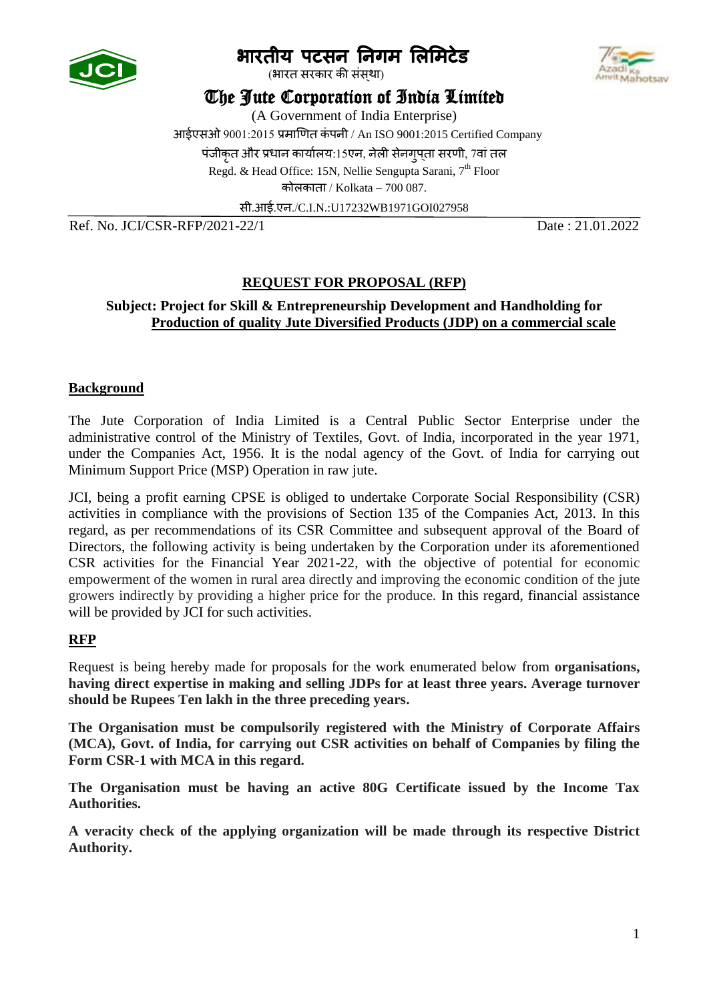

# भारतीय पटसन निगम लिमिटेड

.<br>(भारत सरकार की संसथा)

# The Jute Corporation of India Limited

(A Government of India Enterprise)

आईएसओ 9001:2015 प्रमाणित कं पनी / An ISO 9001:2015 Certified Company

पंजीकृत और प्रधान कार्यालय:15एन, नेली सेनगुपता सरणी, 7वां तल

Regd. & Head Office: 15N, Nellie Sengupta Sarani, 7<sup>th</sup> Floor

कोलकाता / Kolkata – 700 087.

सी.आई.एन./C.I.N.:U17232WB1971GOI027958

Ref. No. JCI/CSR-RFP/2021-22/1 Date : 21.01.2022

# **REQUEST FOR PROPOSAL (RFP)**

## **Subject: Project for Skill & Entrepreneurship Development and Handholding for Production of quality Jute Diversified Products (JDP) on a commercial scale**

# **Background**

The Jute Corporation of India Limited is a Central Public Sector Enterprise under the administrative control of the Ministry of Textiles, Govt. of India, incorporated in the year 1971, under the Companies Act, 1956. It is the nodal agency of the Govt. of India for carrying out Minimum Support Price (MSP) Operation in raw jute.

JCI, being a profit earning CPSE is obliged to undertake Corporate Social Responsibility (CSR) activities in compliance with the provisions of Section 135 of the Companies Act, 2013. In this regard, as per recommendations of its CSR Committee and subsequent approval of the Board of Directors, the following activity is being undertaken by the Corporation under its aforementioned CSR activities for the Financial Year 2021-22, with the objective of potential for economic empowerment of the women in rural area directly and improving the economic condition of the jute growers indirectly by providing a higher price for the produce. In this regard, financial assistance will be provided by JCI for such activities.

#### **RFP**

Request is being hereby made for proposals for the work enumerated below from **organisations, having direct expertise in making and selling JDPs for at least three years. Average turnover should be Rupees Ten lakh in the three preceding years.**

**The Organisation must be compulsorily registered with the Ministry of Corporate Affairs (MCA), Govt. of India, for carrying out CSR activities on behalf of Companies by filing the Form CSR-1 with MCA in this regard.**

**The Organisation must be having an active 80G Certificate issued by the Income Tax Authorities.** 

**A veracity check of the applying organization will be made through its respective District Authority.**